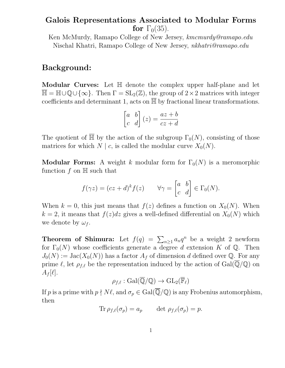# Galois Representations Associated to Modular Forms for  $\Gamma_0(35)$ .

Ken McMurdy, Ramapo College of New Jersey, kmcmurdy@ramapo.edu Nischal Khatri, Ramapo College of New Jersey, nkhatri@ramapo.edu

# Background:

Modular Curves: Let H denote the complex upper half-plane and let  $\overline{\mathbb{H}} = \mathbb{H} \cup \mathbb{Q} \cup \{\infty\}.$  Then  $\Gamma = SL_2(\mathbb{Z})$ , the group of  $2 \times 2$  matrices with integer coefficients and determinant 1, acts on  $\overline{\mathbb{H}}$  by fractional linear transformations.

$$
\begin{bmatrix} a & b \\ c & d \end{bmatrix} (z) = \frac{az+b}{cz+d}
$$

The quotient of  $\overline{\mathbb{H}}$  by the action of the subgroup  $\Gamma_0(N)$ , consisting of those matrices for which  $N \mid c$ , is called the modular curve  $X_0(N)$ .

**Modular Forms:** A weight k modular form for  $\Gamma_0(N)$  is a meromorphic function  $f$  on  $\mathbb H$  such that

$$
f(\gamma z) = (cz+d)^k f(z) \qquad \forall \gamma = \begin{bmatrix} a & b \\ c & d \end{bmatrix} \in \Gamma_0(N).
$$

When  $k = 0$ , this just means that  $f(z)$  defines a function on  $X_0(N)$ . When  $k = 2$ , it means that  $f(z)dz$  gives a well-defined differential on  $X_0(N)$  which we denote by  $\omega_f$ .

**Theorem of Shimura:** Let  $f(q) = \sum_{n\geq 1} a_n q^n$  be a weight 2 newform for  $\Gamma_0(N)$  whose coefficients generate a degree d extension K of Q. Then  $J_0(N) := \text{Jac}(X_0(N))$  has a factor  $A_f$  of dimension d defined over Q. For any prime  $\ell$ , let  $\rho_{f,\ell}$  be the representation induced by the action of  $Gal(\overline{\mathbb{Q}}/\mathbb{Q})$  on  $A_f[\ell].$ 

$$
\rho_{f,\ell} : \mathrm{Gal}(\overline{\mathbb{Q}}/\mathbb{Q}) \to \mathrm{GL}_2(\overline{\mathbb{F}}_{\ell})
$$

If p is a prime with  $p \nmid N \ell$ , and  $\sigma_p \in \text{Gal}(\overline{\mathbb{Q}}/\mathbb{Q})$  is any Frobenius automorphism, then

$$
\text{Tr}\,\rho_{f,\ell}(\sigma_p)=a_p\qquad\text{det}\,\,\rho_{f,\ell}(\sigma_p)=p.
$$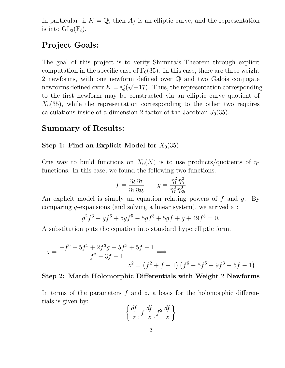In particular, if  $K = \mathbb{Q}$ , then  $A_f$  is an elliptic curve, and the representation is into  $GL_2(\mathbb{F}_{\ell})$ .

# Project Goals:

The goal of this project is to verify Shimura's Theorem through explicit computation in the specific case of  $\Gamma_0(35)$ . In this case, there are three weight 2 newforms, with one newform defined over Q and two Galois conjugate newforms defined over  $K = \mathbb{Q}(\mathbb{Q})$ √ −17). Thus, the representation corresponding to the first newform may be constructed via an elliptic curve quotient of  $X_0(35)$ , while the representation corresponding to the other two requires calculations inside of a dimension 2 factor of the Jacobian  $J_0(35)$ .

### Summary of Results:

### Step 1: Find an Explicit Model for  $X_0(35)$

One way to build functions on  $X_0(N)$  is to use products/quotients of  $\eta$ functions. In this case, we found the following two functions.

$$
f = \frac{\eta_5 \eta_7}{\eta_1 \eta_{35}} \qquad g = \frac{\eta_1^2 \eta_5^2}{\eta_7^2 \eta_{35}^2}
$$

An explicit model is simply an equation relating powers of  $f$  and  $g$ . By comparing q-expansions (and solving a linear system), we arrived at:

$$
g^2f^3 - gf^6 + 5gf^5 - 5gf^3 + 5gf + g + 49f^3 = 0.
$$

A substitution puts the equation into standard hyperelliptic form.

$$
z = \frac{-f^6 + 5f^5 + 2f^3g - 5f^3 + 5f + 1}{f^2 - 3f - 1} \Longrightarrow
$$
  

$$
z^2 = (f^2 + f - 1)(f^6 - 5f^5 - 9f^3 - 5f - 1)
$$

### Step 2: Match Holomorphic Differentials with Weight 2 Newforms

In terms of the parameters  $f$  and  $z$ , a basis for the holomorphic differentials is given by:

$$
\left\{\frac{df}{z}, f\frac{df}{z}, f^2\frac{df}{z}\right\}
$$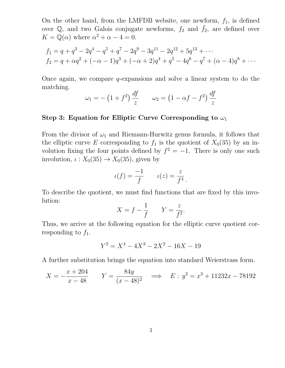On the other hand, from the LMFDB website, one newform,  $f_1$ , is defined over Q, and two Galois conjugate newforms,  $f_2$  and  $\bar{f}_2$ , are defined over  $K = \mathbb{Q}(\alpha)$  where  $\alpha^2 + \alpha - 4 = 0$ .

$$
f_1 = q + q^3 - 2q^4 - q^5 + q^7 - 2q^9 - 3q^{11} - 2q^{12} + 5q^{13} + \cdots
$$
  
\n
$$
f_2 = q + \alpha q^2 + (-\alpha - 1)q^3 + (-\alpha + 2)q^4 + q^5 - 4q^6 - q^7 + (\alpha - 4)q^8 + \cdots
$$

Once again, we compare  $q$ -expansions and solve a linear system to do the matching.

$$
\omega_1 = -\left(1+f^2\right)\frac{df}{z} \qquad \omega_2 = \left(1-\alpha f - f^2\right)\frac{df}{z}
$$

### Step 3: Equation for Elliptic Curve Corresponding to  $\omega_1$

From the divisor of  $\omega_1$  and Riemann-Hurwitz genus formula, it follows that the elliptic curve E corresponding to  $f_1$  is the quotient of  $X_0(35)$  by an involution fixing the four points defined by  $f^2 = -1$ . There is only one such involution,  $\iota: X_0(35) \to X_0(35)$ , given by

$$
u(f) = \frac{-1}{f} \qquad u(z) = \frac{z}{f^4}.
$$

To describe the quotient, we must find functions that are fixed by this involution:

$$
X = f - \frac{1}{f} \qquad Y = \frac{z}{f^2}.
$$

Thus, we arrive at the following equation for the elliptic curve quotient corresponding to  $f_1$ .

$$
Y^2 = X^4 - 4X^3 - 2X^2 - 16X - 19
$$

A further substitution brings the equation into standard Weierstrass form.

$$
X = -\frac{x + 204}{x - 48} \qquad Y = \frac{84y}{(x - 48)^2} \quad \implies \quad E : y^2 = x^3 + 11232x - 78192
$$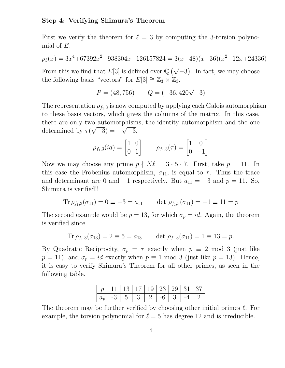#### Step 4: Verifying Shimura's Theorem

First we verify the theorem for  $\ell = 3$  by computing the 3-torsion polynomial of E.

$$
p_3(x) = 3x^4 + 67392x^2 - 938304x - 126157824 = 3(x-48)(x+36)(x^2+12x+24336)
$$

From this we find that E[3] is defined over  $\mathbb{Q}(\sqrt{-3})$ . In fact, we may choose the following basis "vectors" for  $E[3] \cong \mathbb{Z}_3 \times \mathbb{Z}_3$ .

$$
P = (48, 756) \qquad Q = (-36, 420\sqrt{-3})
$$

The representation  $\rho_{f_1,3}$  is now computed by applying each Galois automorphism to these basis vectors, which gives the columns of the matrix. In this case, there are only two automorphisms, the identity automorphism and the one determined by  $\tau(\sqrt{-3}) = -\sqrt{-3}$ .

$$
\rho_{f_1,3}(id) = \begin{bmatrix} 1 & 0 \\ 0 & 1 \end{bmatrix} \qquad \rho_{f_1,3}(\tau) = \begin{bmatrix} 1 & 0 \\ 0 & -1 \end{bmatrix}
$$

Now we may choose any prime  $p \nmid N\ell = 3 \cdot 5 \cdot 7$ . First, take  $p = 11$ . In this case the Frobenius automorphism,  $\sigma_{11}$ , is equal to  $\tau$ . Thus the trace and determinant are 0 and  $-1$  respectively. But  $a_{11} = -3$  and  $p = 11$ . So, Shimura is verified!!

$$
\text{Tr}\,\rho_{f_1,3}(\sigma_{11}) = 0 \equiv -3 = a_{11} \qquad \text{det}\,\,\rho_{f_1,3}(\sigma_{11}) = -1 \equiv 11 = p
$$

The second example would be  $p = 13$ , for which  $\sigma_p = id$ . Again, the theorem is verified since

$$
\text{Tr}\,\rho_{f_1,3}(\sigma_{13}) = 2 \equiv 5 = a_{13} \qquad \text{det}\,\,\rho_{f_1,3}(\sigma_{11}) = 1 \equiv 13 = p.
$$

By Quadratic Reciprocity,  $\sigma_p = \tau$  exactly when  $p \equiv 2 \mod 3$  (just like  $p = 11$ , and  $\sigma_p = id$  exactly when  $p \equiv 1 \mod 3$  (just like  $p = 13$ ). Hence, it is easy to verify Shimura's Theorem for all other primes, as seen in the following table.

| $\mid p \mid 11 \mid 13 \mid 17 \mid 19 \mid 23 \mid 29 \mid 31 \mid 37 \mid$                                                               |  |  |  |  |
|---------------------------------------------------------------------------------------------------------------------------------------------|--|--|--|--|
| $ a_p $ -3 $ 5 \overline{\smash{\big)}\ 3}$ $ 2 \overline{\smash{\big)}\ 6}$ $ 3 \overline{\smash{\big)}\ 4}$ $ 2 \overline{\smash{\big)}}$ |  |  |  |  |

The theorem may be further verified by choosing other initial primes  $\ell$ . For example, the torsion polynomial for  $\ell = 5$  has degree 12 and is irreducible.